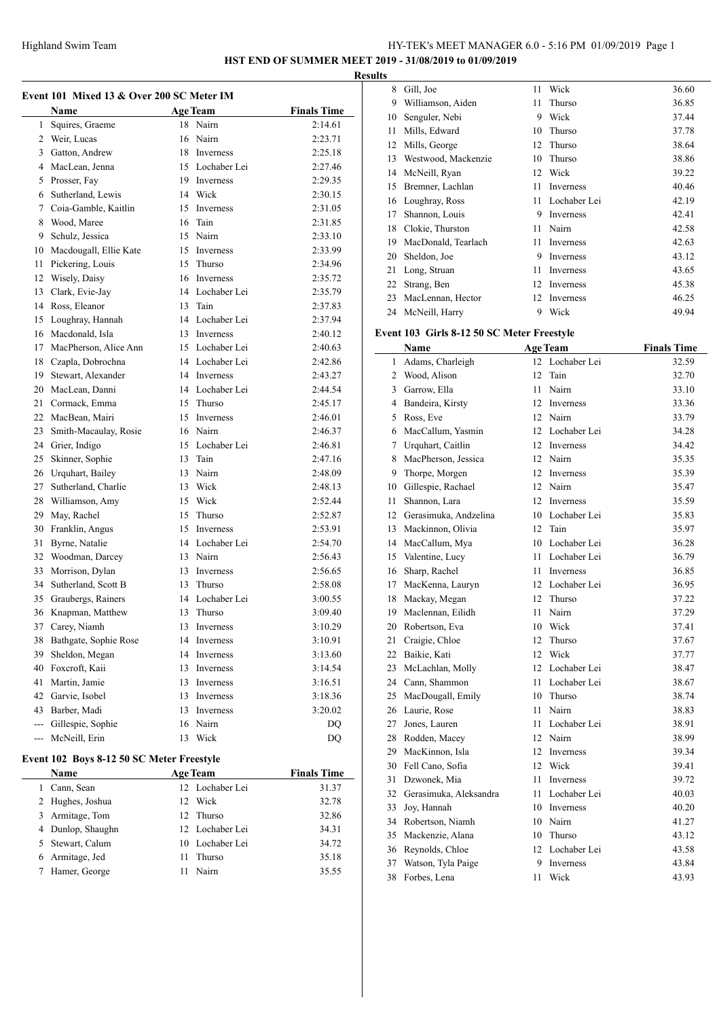# Highland Swim Team HY-TEK's MEET MANAGER 6.0 - 5:16 PM 01/09/2019 Page 1

**HST END OF SUMMER MEET 2019 - 31/08/2019 to 01/09/2019**

|    | <b>Name</b>                        |    | <b>Age Team</b><br>18 Nairn | <b>Finals Time</b> |    |
|----|------------------------------------|----|-----------------------------|--------------------|----|
|    | 1 Squires, Graeme<br>2 Weir, Lucas |    | 16 Nairn                    | 2:14.61            |    |
|    | 3 Gatton, Andrew                   |    |                             | 2:23.71            |    |
|    |                                    |    | 18 Inverness                | 2:25.18            |    |
|    | 4 MacLean, Jenna                   |    | 15 Lochaber Lei             | 2:27.46            |    |
|    | 5 Prosser, Fay                     |    | 19 Inverness                | 2:29.35            |    |
|    | 6 Sutherland, Lewis                |    | 14 Wick                     | 2:30.15            |    |
|    | 7 Coia-Gamble, Kaitlin             |    | 15 Inverness                | 2:31.05            |    |
|    | 8 Wood, Maree                      | 16 | Tain                        | 2:31.85            |    |
|    | 9 Schulz, Jessica                  |    | 15 Nairn                    | 2:33.10            |    |
|    | 10 Macdougall, Ellie Kate          |    | 15 Inverness                | 2:33.99            |    |
| 11 | Pickering, Louis                   |    | 15 Thurso                   | 2:34.96            |    |
| 12 | Wisely, Daisy                      |    | 16 Inverness                | 2:35.72            |    |
| 13 | Clark, Evie-Jay                    |    | 14 Lochaber Lei             | 2:35.79            |    |
| 14 | Ross, Eleanor                      |    | 13 Tain                     | 2:37.83            |    |
| 15 | Loughray, Hannah                   |    | 14 Lochaber Lei             | 2:37.94            |    |
|    | 16 Macdonald, Isla                 |    | 13 Inverness                | 2:40.12            | Ev |
|    | 17 MacPherson, Alice Ann           |    | 15 Lochaber Lei             | 2:40.63            |    |
| 18 | Czapla, Dobrochna                  |    | 14 Lochaber Lei             | 2:42.86            |    |
|    | 19 Stewart, Alexander              |    | 14 Inverness                | 2:43.27            |    |
|    | 20 MacLean, Danni                  |    | 14 Lochaber Lei             | 2:44.54            |    |
|    | 21 Cormack, Emma                   |    | 15 Thurso                   | 2:45.17            |    |
|    | 22 MacBean, Mairi                  |    | 15 Inverness                | 2:46.01            |    |
|    | 23 Smith-Macaulay, Rosie           |    | 16 Nairn                    | 2:46.37            |    |
|    | 24 Grier, Indigo                   |    | 15 Lochaber Lei             | 2:46.81            |    |
| 25 | Skinner, Sophie                    |    | 13 Tain                     | 2:47.16            |    |
|    | 26 Urquhart, Bailey                |    | 13 Nairn                    | 2:48.09            |    |
| 27 | Sutherland, Charlie                |    | 13 Wick                     | 2:48.13            |    |
|    | 28 Williamson, Amy                 |    | 15 Wick                     | 2:52.44            |    |
| 29 | May, Rachel                        | 15 | Thurso                      | 2:52.87            |    |
| 30 | Franklin, Angus                    |    | 15 Inverness                | 2:53.91            |    |
| 31 | Byrne, Natalie                     |    | 14 Lochaber Lei             | 2:54.70            |    |
|    | 32 Woodman, Darcey                 |    | 13 Nairn                    | 2:56.43            |    |
| 33 | Morrison, Dylan                    |    | 13 Inverness                | 2:56.65            |    |
|    | 34 Sutherland, Scott B             |    | 13 Thurso                   | 2:58.08            |    |
|    | 35 Graubergs, Rainers              |    | 14 Lochaber Lei             | 3:00.55            |    |
|    | 36 Knapman, Matthew                |    | 13 Thurso                   | 3:09.40            |    |
|    | 37 Carey, Niamh                    |    | 13 Inverness                | 3:10.29            |    |
|    | 38 Bathgate, Sophie Rose           | 14 | Inverness                   | 3:10.91            |    |
| 39 | Sheldon, Megan                     | 14 | Inverness                   | 3:13.60            |    |
|    | 40 Foxcroft, Kaii                  | 13 | Inverness                   | 3:14.54            |    |
| 41 | Martin, Jamie                      | 13 | Inverness                   | 3:16.51            |    |
| 42 | Garvie, Isobel                     | 13 | Inverness                   | 3:18.36            |    |
|    | 43 Barber, Madi                    | 13 | Inverness                   | 3:20.02            |    |
|    | --- Gillespie, Sophie              |    | 16 Nairn                    | DQ                 |    |
|    | --- McNeill, Erin                  |    | 13 Wick                     | DQ                 |    |
|    |                                    |    |                             |                    |    |

| Event 102 Boys 8-12 50 SC Meter Freestyle |    |                 |                    |
|-------------------------------------------|----|-----------------|--------------------|
| Name                                      |    | <b>Age Team</b> | <b>Finals Time</b> |
| Cann, Sean                                |    | 12 Lochaber Lei | 31.37              |
| 2 Hughes, Joshua                          |    | 12 Wick         | 32.78              |
| 3 Armitage, Tom                           |    | 12 Thurso       | 32.86              |
| 4 Dunlop, Shaughn                         |    | 12 Lochaber Lei | 34.31              |
| 5 Stewart, Calum                          |    | 10 Lochaber Lei | 34.72              |
| 6 Armitage, Jed                           | 11 | Thurso          | 35.18              |
| Hamer, George                             |    | Nairn           | 35.55              |

| Gill, Joe           | 11 | Wick         | 36.60 |
|---------------------|----|--------------|-------|
| Williamson, Aiden   | 11 | Thurso       | 36.85 |
| Senguler, Nebi      | 9  | Wick         | 37.44 |
| Mills, Edward       | 10 | Thurso       | 37.78 |
| Mills, George       | 12 | Thurso       | 38.64 |
| Westwood, Mackenzie | 10 | Thurso       | 38.86 |
| McNeill, Ryan       | 12 | Wick         | 39.22 |
| Bremner, Lachlan    | 11 | Inverness    | 40.46 |
| Loughray, Ross      | 11 | Lochaber Lei | 42.19 |
| Shannon, Louis      | 9  | Inverness    | 42.41 |
| Clokie, Thurston    | 11 | Nairn        | 42.58 |
| MacDonald, Tearlach | 11 | Inverness    | 42.63 |
| Sheldon, Joe        | 9  | Inverness    | 43.12 |
| Long, Struan        | 11 | Inverness    | 43.65 |
| Strang, Ben         | 12 | Inverness    | 45.38 |
| MacLennan, Hector   | 12 | Inverness    | 46.25 |
| McNeill, Harry      | 9  | Wick         | 49.94 |
|                     |    |              |       |

### **Event 103 Girls 8-12 50 SC Meter Freestyle**

|              | Name                   |    | <b>Age Team</b> | <b>Finals Time</b> |
|--------------|------------------------|----|-----------------|--------------------|
| $\mathbf{1}$ | Adams, Charleigh       |    | 12 Lochaber Lei | 32.59              |
| 2            | Wood, Alison           | 12 | Tain            | 32.70              |
| 3            | Garrow, Ella           | 11 | Nairn           | 33.10              |
| 4            | Bandeira, Kirsty       | 12 | Inverness       | 33.36              |
| 5            | Ross, Eve              | 12 | Nairn           | 33.79              |
| 6            | MacCallum, Yasmin      | 12 | Lochaber Lei    | 34.28              |
| 7            | Urquhart, Caitlin      | 12 | Inverness       | 34.42              |
| 8            | MacPherson, Jessica    | 12 | Nairn           | 35.35              |
| 9            | Thorpe, Morgen         | 12 | Inverness       | 35.39              |
| 10           | Gillespie, Rachael     | 12 | Nairn           | 35.47              |
| 11           | Shannon, Lara          | 12 | Inverness       | 35.59              |
| 12           | Gerasimuka, Andzelina  | 10 | Lochaber Lei    | 35.83              |
| 13           | Mackinnon, Olivia      | 12 | Tain            | 35.97              |
| 14           | MacCallum, Mya         | 10 | Lochaber Lei    | 36.28              |
| 15           | Valentine, Lucy        | 11 | Lochaber Lei    | 36.79              |
| 16           | Sharp, Rachel          | 11 | Inverness       | 36.85              |
| 17           | MacKenna, Lauryn       | 12 | Lochaber Lei    | 36.95              |
| 18           | Mackay, Megan          | 12 | Thurso          | 37.22              |
| 19           | Maclennan, Eilidh      | 11 | Nairn           | 37.29              |
| 20           | Robertson, Eva         | 10 | Wick            | 37.41              |
| 21           | Craigie, Chloe         | 12 | Thurso          | 37.67              |
| 22           | Baikie, Kati           | 12 | Wick            | 37.77              |
| 23           | McLachlan, Molly       | 12 | Lochaber Lei    | 38.47              |
| 24           | Cann, Shammon          | 11 | Lochaber Lei    | 38.67              |
| 25           | MacDougall, Emily      | 10 | Thurso          | 38.74              |
| 26           | Laurie, Rose           | 11 | Nairn           | 38.83              |
| 27           | Jones, Lauren          | 11 | Lochaber Lei    | 38.91              |
| 28           | Rodden, Macey          | 12 | Nairn           | 38.99              |
| 29           | MacKinnon, Isla        | 12 | Inverness       | 39.34              |
| 30           | Fell Cano, Sofia       | 12 | Wick            | 39.41              |
| 31           | Dzwonek, Mia           | 11 | Inverness       | 39.72              |
| 32           | Gerasimuka, Aleksandra | 11 | Lochaber Lei    | 40.03              |
| 33           | Joy, Hannah            | 10 | Inverness       | 40.20              |
| 34           | Robertson, Niamh       | 10 | Nairn           | 41.27              |
| 35           | Mackenzie, Alana       | 10 | Thurso          | 43.12              |
| 36           | Reynolds, Chloe        | 12 | Lochaber Lei    | 43.58              |
| 37           | Watson, Tyla Paige     | 9  | Inverness       | 43.84              |
| 38           | Forbes, Lena           | 11 | Wick            | 43.93              |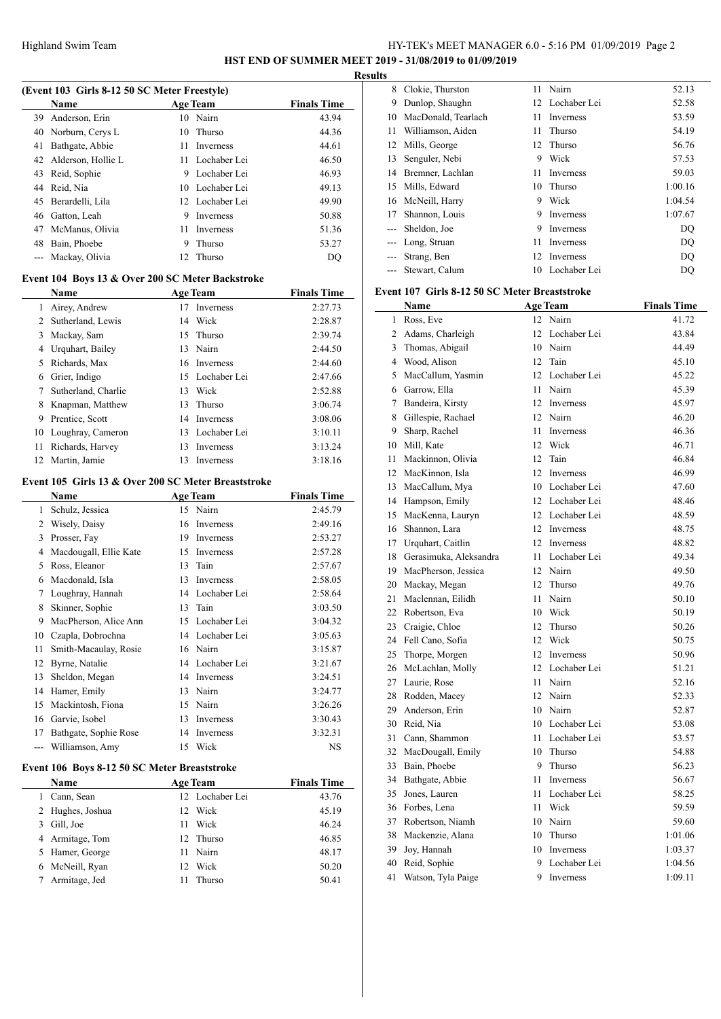# HY-TEK's MEET MANAGER 6.0 - 5:16 PM 01/09/2019 Page 2 **HST END OF SUMMER MEET 2019 - 31/08/2019 to 01/09/2019**

**Results**

 $\sim$ 

|                | (Event 103 Girls 8-12 50 SC Meter Freestyle)        |    |                 |                    |
|----------------|-----------------------------------------------------|----|-----------------|--------------------|
|                | <b>Name</b>                                         |    | <b>Age Team</b> | <b>Finals Time</b> |
|                | 39 Anderson, Erin                                   | 10 | Nairn           | 43.94              |
|                | 40 Norburn, Cerys L                                 | 10 | Thurso          | 44.36              |
| 41             | Bathgate, Abbie                                     | 11 | Inverness       | 44.61              |
|                | 42 Alderson, Hollie L                               |    | 11 Lochaber Lei | 46.50              |
|                | 43 Reid, Sophie                                     |    | 9 Lochaber Lei  | 46.93              |
|                | 44 Reid, Nia                                        |    | 10 Lochaber Lei | 49.13              |
|                | 45 Berardelli, Lila                                 |    | 12 Lochaber Lei | 49.90              |
|                | 46 Gatton, Leah                                     | 9  | Inverness       | 50.88              |
|                | 47 McManus, Olivia                                  |    | 11 Inverness    | 51.36              |
|                | 48 Bain, Phoebe                                     | 9  | Thurso          | 53.27              |
| $---$          | Mackay, Olivia                                      | 12 | Thurso          | DQ                 |
|                | Event 104 Boys 13 & Over 200 SC Meter Backstroke    |    |                 |                    |
|                | Name                                                |    | <b>Age Team</b> | <b>Finals Time</b> |
| 1              | Airey, Andrew                                       | 17 | Inverness       | 2:27.73            |
|                | 2 Sutherland, Lewis                                 | 14 | Wick            | 2:28.87            |
|                | 3 Mackay, Sam                                       |    | 15 Thurso       | 2:39.74            |
|                | 4 Urquhart, Bailey                                  |    | 13 Nairn        | 2:44.50            |
|                | 5 Richards, Max                                     |    | 16 Inverness    | 2:44.60            |
|                | 6 Grier, Indigo                                     |    | 15 Lochaber Lei | 2:47.66            |
| 7              | Sutherland, Charlie                                 |    | 13 Wick         | 2:52.88            |
|                | 8 Knapman, Matthew                                  |    | 13 Thurso       | 3:06.74            |
| 9              | Prentice, Scott                                     |    | 14 Inverness    | 3:08.06            |
|                | 10 Loughray, Cameron                                |    | 13 Lochaber Lei | 3:10.11            |
| 11             | Richards, Harvey                                    |    | 13 Inverness    | 3:13.24            |
| 12             | Martin, Jamie                                       | 13 | Inverness       | 3:18.16            |
|                | Event 105 Girls 13 & Over 200 SC Meter Breaststroke |    |                 |                    |
|                | Name                                                |    | <b>Age Team</b> | <b>Finals Time</b> |
| 1              | Schulz, Jessica                                     | 15 | Nairn           | 2:45.79            |
|                | 2 Wisely, Daisy                                     |    | 16 Inverness    | 2:49.16            |
|                | 3 Prosser, Fay                                      |    | 19 Inverness    | 2:53.27            |
|                | 4 Macdougall, Ellie Kate                            |    | 15 Inverness    | 2:57.28            |
|                | 5 Ross, Eleanor                                     |    | 13 Tain         | 2:57.67            |
|                | 6 Macdonald, Isla                                   |    | 13 Inverness    | 2:58.05            |
| 7              | Loughray, Hannah                                    |    | 14 Lochaber Lei | 2:58.64            |
| 8              | Skinner, Sophie                                     |    | 13 Tain         | 3:03.50            |
| 9.             | MacPherson, Alice Ann                               |    | 15 Lochaber Lei | 3:04.32            |
| 10             | Czapla, Dobrochna                                   |    | 14 Lochaber Lei | 3:05.63            |
| 11             | Smith-Macaulay, Rosie                               | 16 | Nairn           | 3:15.87            |
| 12             | Byrne, Natalie                                      |    | 14 Lochaber Lei | 3:21.67            |
| 13             | Sheldon, Megan                                      |    | 14 Inverness    | 3:24.51            |
| 14             | Hamer, Emily                                        |    | 13 Nairn        | 3:24.77            |
| 15             | Mackintosh, Fiona                                   |    | 15 Nairn        | 3:26.26            |
|                | 16 Garvie, Isobel                                   |    | 13 Inverness    | 3:30.43            |
| 17             | Bathgate, Sophie Rose                               |    | 14 Inverness    | 3:32.31            |
| $\overline{a}$ | Williamson, Amy                                     | 15 | Wick            | NS                 |
|                | Event 106 Boys 8-12 50 SC Meter Breaststroke        |    |                 |                    |
|                | Name                                                |    | <b>Age Team</b> | <b>Finals Time</b> |
| 1              | Cann, Sean                                          |    | 12 Lochaber Lei | 43.76              |
| 2              | Hughes, Joshua                                      | 12 | Wick            | 45.19              |
| 3              | Gill, Joe                                           | 11 | Wick            | 46.24              |
| 4              | Armitage, Tom                                       | 12 | Thurso          | 46.85              |

 Hamer, George 11 Nairn 48.17 McNeill, Ryan 12 Wick 50.20 Armitage, Jed 11 Thurso 50.41

| 8                          | Clokie, Thurston    | 11  | Nairn        | 52.13   |
|----------------------------|---------------------|-----|--------------|---------|
| 9                          | Dunlop, Shaughn     | 12. | Lochaber Lei | 52.58   |
| 10                         | MacDonald, Tearlach | 11  | Inverness    | 53.59   |
| 11                         | Williamson, Aiden   | 11  | Thurso       | 54.19   |
| 12                         | Mills, George       | 12  | Thurso       | 56.76   |
| 13                         | Senguler, Nebi      | 9   | Wick         | 57.53   |
| 14                         | Bremner, Lachlan    | 11  | Inverness    | 59.03   |
| 15                         | Mills, Edward       | 10  | Thurso       | 1:00.16 |
| 16                         | McNeill, Harry      | 9   | Wick         | 1:04.54 |
| 17                         | Shannon, Louis      | 9   | Inverness    | 1:07.67 |
| $\overline{a}$             | Sheldon, Joe        | 9   | Inverness    | DO      |
| $\qquad \qquad \text{---}$ | Long, Struan        | 11  | Inverness    | DQ      |
|                            | Strang, Ben         | 12  | Inverness    | DO      |
| $---$                      | Stewart, Calum      | 10  | Lochaber Lei | DO      |

#### **Event 107 Girls 8-12 50 SC Meter Breaststroke**

|    | Name                   |    | <b>Age Team</b>  | <b>Finals Time</b> |
|----|------------------------|----|------------------|--------------------|
| 1  | Ross, Eve              |    | 12 Nairn         | 41.72              |
| 2  | Adams, Charleigh       | 12 | Lochaber Lei     | 43.84              |
| 3  | Thomas, Abigail        |    | 10 Nairn         | 44.49              |
| 4  | Wood, Alison           | 12 | Tain             | 45.10              |
| 5  | MacCallum, Yasmin      | 12 | Lochaber Lei     | 45.22              |
| 6  | Garrow, Ella           | 11 | Nairn            | 45.39              |
| 7  | Bandeira, Kirsty       | 12 | Inverness        | 45.97              |
| 8  | Gillespie, Rachael     | 12 | Nairn            | 46.20              |
| 9  | Sharp, Rachel          | 11 | Inverness        | 46.36              |
| 10 | Mill, Kate             | 12 | Wick             | 46.71              |
| 11 | Mackinnon, Olivia      | 12 | Tain             | 46.84              |
| 12 | MacKinnon, Isla        | 12 | Inverness        | 46.99              |
| 13 | MacCallum, Mya         |    | 10 Lochaber Lei  | 47.60              |
| 14 | Hampson, Emily         |    | 12 Lochaber Lei  | 48.46              |
| 15 | MacKenna, Lauryn       |    | 12 Lochaber Lei  | 48.59              |
| 16 | Shannon, Lara          | 12 | Inverness        | 48.75              |
| 17 | Urquhart, Caitlin      | 12 | Inverness        | 48.82              |
| 18 | Gerasimuka, Aleksandra | 11 | Lochaber Lei     | 49.34              |
| 19 | MacPherson, Jessica    |    | 12 Nairn         | 49.50              |
| 20 | Mackay, Megan          | 12 | Thurso           | 49.76              |
| 21 | Maclennan, Eilidh      | 11 | Nairn            | 50.10              |
| 22 | Robertson, Eva         | 10 | Wick             | 50.19              |
| 23 | Craigie, Chloe         | 12 | Thurso           | 50.26              |
| 24 | Fell Cano, Sofia       | 12 | Wick             | 50.75              |
| 25 | Thorpe, Morgen         | 12 | <b>Inverness</b> | 50.96              |
| 26 | McLachlan, Molly       | 12 | Lochaber Lei     | 51.21              |
| 27 | Laurie, Rose           | 11 | Nairn            | 52.16              |
| 28 | Rodden, Macey          |    | 12 Nairn         | 52.33              |
| 29 | Anderson, Erin         |    | 10 Nairn         | 52.87              |
| 30 | Reid, Nia              |    | 10 Lochaber Lei  | 53.08              |
| 31 | Cann, Shammon          | 11 | Lochaber Lei     | 53.57              |
| 32 | MacDougall, Emily      | 10 | Thurso           | 54.88              |
| 33 | Bain, Phoebe           | 9  | Thurso           | 56.23              |
| 34 | Bathgate, Abbie        | 11 | Inverness        | 56.67              |
| 35 | Jones, Lauren          | 11 | Lochaber Lei     | 58.25              |
| 36 | Forbes, Lena           | 11 | Wick             | 59.59              |
| 37 | Robertson, Niamh       |    | 10 Nairn         | 59.60              |
| 38 | Mackenzie, Alana       | 10 | Thurso           | 1:01.06            |
| 39 | Joy, Hannah            | 10 | Inverness        | 1:03.37            |
| 40 | Reid, Sophie           | 9  | Lochaber Lei     | 1:04.56            |
| 41 | Watson, Tyla Paige     | 9  | Inverness        | 1:09.11            |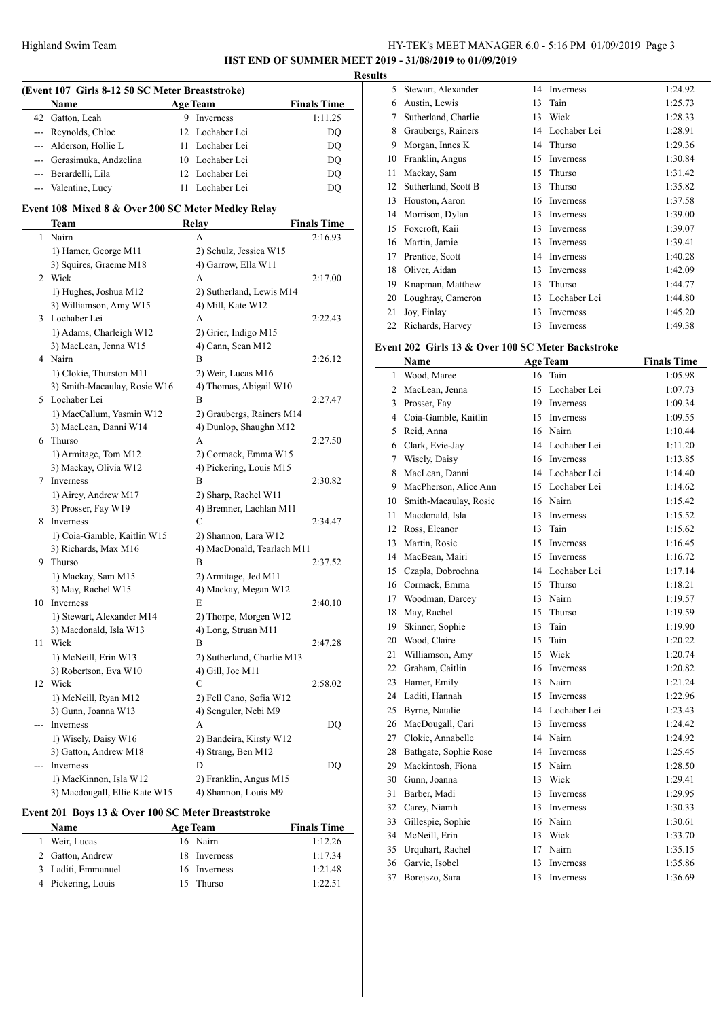# HY-TEK's MEET MANAGER 6.0 - 5:16 PM 01/09/2019 Page 3 **HST END OF SUMMER MEET 2019 - 31/08/2019 to 01/09/2019**

**Results**

|       | (Event 107 Girls 8-12 50 SC Meter Breaststroke)    |                            |                    |
|-------|----------------------------------------------------|----------------------------|--------------------|
|       | Name                                               | <b>Age Team</b>            | <b>Finals Time</b> |
|       | 42 Gatton, Leah                                    | 9 Inverness                | 1:11.25            |
|       | --- Reynolds, Chloe                                | 12 Lochaber Lei            | DQ                 |
| ---   | Alderson, Hollie L                                 | 11 Lochaber Lei            | DQ                 |
|       | --- Gerasimuka, Andzelina                          | 10 Lochaber Lei            | DQ                 |
|       | --- Berardelli, Lila                               | 12 Lochaber Lei            | DQ                 |
|       | --- Valentine, Lucy                                | 11 Lochaber Lei            | DQ                 |
|       |                                                    |                            |                    |
|       | Event 108 Mixed 8 & Over 200 SC Meter Medley Relay |                            |                    |
|       | Team                                               | Relay                      | <b>Finals Time</b> |
| 1     | Nairn                                              | A                          | 2:16.93            |
|       | 1) Hamer, George M11                               | 2) Schulz, Jessica W15     |                    |
|       | 3) Squires, Graeme M18                             | 4) Garrow, Ella W11        |                    |
|       | 2 Wick                                             | A                          | 2:17.00            |
|       | 1) Hughes, Joshua M12                              | 2) Sutherland, Lewis M14   |                    |
|       | 3) Williamson, Amy W15                             | 4) Mill, Kate W12          |                    |
| 3     | Lochaber Lei                                       | A                          | 2:22.43            |
|       | 1) Adams, Charleigh W12                            | 2) Grier, Indigo M15       |                    |
|       | 3) MacLean, Jenna W15                              | 4) Cann, Sean M12          |                    |
|       | 4 Nairn                                            | B                          | 2:26.12            |
|       | 1) Clokie, Thurston M11                            | 2) Weir, Lucas M16         |                    |
|       | 3) Smith-Macaulay, Rosie W16                       | 4) Thomas, Abigail W10     |                    |
|       | 5 Lochaber Lei                                     | B                          | 2:27.47            |
|       | 1) MacCallum, Yasmin W12                           | 2) Graubergs, Rainers M14  |                    |
|       | 3) MacLean, Danni W14                              | 4) Dunlop, Shaughn M12     |                    |
|       | 6 Thurso                                           | A                          | 2:27.50            |
|       | 1) Armitage, Tom M12                               | 2) Cormack, Emma W15       |                    |
|       | 3) Mackay, Olivia W12                              | 4) Pickering, Louis M15    |                    |
| 7     | Inverness                                          | B                          | 2:30.82            |
|       | 1) Airey, Andrew M17                               | 2) Sharp, Rachel W11       |                    |
|       | 3) Prosser, Fay W19                                | 4) Bremner, Lachlan M11    |                    |
|       | 8 Inverness                                        | C                          | 2:34.47            |
|       | 1) Coia-Gamble, Kaitlin W15                        | 2) Shannon, Lara W12       |                    |
|       | 3) Richards, Max M16                               | 4) MacDonald, Tearlach M11 |                    |
|       | 9 Thurso                                           | B                          | 2:37.52            |
|       | 1) Mackay, Sam M15                                 | 2) Armitage, Jed M11       |                    |
|       | 3) May, Rachel W15                                 | 4) Mackay, Megan W12       |                    |
|       | 10 Inverness                                       | E                          | 2:40.10            |
|       | 1) Stewart, Alexander M14                          | 2) Thorpe, Morgen W12      |                    |
|       | 3) Macdonald, Isla W13                             | 4) Long, Struan M11        |                    |
| 11    | Wick                                               | В                          | 2:47.28            |
|       | 1) McNeill, Erin W13                               | 2) Sutherland, Charlie M13 |                    |
|       | 3) Robertson, Eva W10                              | 4) Gill, Joe M11           |                    |
|       | 12 Wick                                            | C                          | 2:58.02            |
|       | 1) McNeill, Ryan M12                               | 2) Fell Cano, Sofia W12    |                    |
|       | 3) Gunn, Joanna W13                                | 4) Senguler, Nebi M9       |                    |
| $---$ | Inverness                                          | A                          | DQ                 |
|       | 1) Wisely, Daisy W16                               | 2) Bandeira, Kirsty W12    |                    |
|       | 3) Gatton, Andrew M18                              | 4) Strang, Ben M12         |                    |
|       | Inverness                                          | D                          | DQ                 |
|       | 1) MacKinnon, Isla W12                             | 2) Franklin, Angus M15     |                    |
|       | 3) Macdougall, Ellie Kate W15                      | 4) Shannon, Louis M9       |                    |

# **Event 201 Boys 13 & Over 100 SC Meter Breaststroke**

 $\overline{\phantom{0}}$ 

| <b>Name</b>        | <b>Age Team</b> | <b>Finals Time</b> |
|--------------------|-----------------|--------------------|
| Weir, Lucas        | 16 Nairn        | 1:12.26            |
| 2 Gatton, Andrew   | 18 Inverness    | 1:17.34            |
| 3 Laditi, Emmanuel | 16 Inverness    | 1:21.48            |
| 4 Pickering, Louis | 15 Thurso       | 1:22.51            |

| w  |                     |    |                  |         |
|----|---------------------|----|------------------|---------|
| 5  | Stewart, Alexander  | 14 | Inverness        | 1:24.92 |
| 6  | Austin, Lewis       | 13 | Tain             | 1:25.73 |
| 7  | Sutherland, Charlie | 13 | Wick             | 1:28.33 |
| 8  | Graubergs, Rainers  | 14 | Lochaber Lei     | 1:28.91 |
| 9  | Morgan, Innes K     | 14 | Thurso           | 1:29.36 |
| 10 | Franklin, Angus     | 15 | <b>Inverness</b> | 1:30.84 |
| 11 | Mackay, Sam         | 15 | Thurso           | 1:31.42 |
| 12 | Sutherland, Scott B | 13 | Thurso           | 1:35.82 |
| 13 | Houston, Aaron      | 16 | Inverness        | 1:37.58 |
| 14 | Morrison, Dylan     | 13 | <b>Inverness</b> | 1:39.00 |
| 15 | Foxcroft, Kaii      | 13 | Inverness        | 1:39.07 |
| 16 | Martin, Jamie       | 13 | Inverness        | 1:39.41 |
| 17 | Prentice, Scott     | 14 | Inverness        | 1:40.28 |
| 18 | Oliver, Aidan       | 13 | Inverness        | 1:42.09 |
| 19 | Knapman, Matthew    | 13 | Thurso           | 1:44.77 |
| 20 | Loughray, Cameron   | 13 | Lochaber Lei     | 1:44.80 |
| 21 | Joy, Finlay         | 13 | Inverness        | 1:45.20 |
| 22 | Richards, Harvey    | 13 | Inverness        | 1:49.38 |
|    |                     |    |                  |         |

### **Event 202 Girls 13 & Over 100 SC Meter Backstroke**

|    | Name                  |    | <b>Age Team</b>  | <b>Finals Time</b> |
|----|-----------------------|----|------------------|--------------------|
| 1  | Wood, Maree           | 16 | Tain             | 1:05.98            |
| 2  | MacLean, Jenna        | 15 | Lochaber Lei     | 1:07.73            |
| 3  | Prosser, Fay          | 19 | Inverness        | 1:09.34            |
| 4  | Coia-Gamble, Kaitlin  | 15 | Inverness        | 1:09.55            |
| 5  | Reid, Anna            | 16 | Nairn            | 1:10.44            |
| 6  | Clark, Evie-Jay       | 14 | Lochaber Lei     | 1:11.20            |
| 7  | Wisely, Daisy         | 16 | Inverness        | 1:13.85            |
| 8  | MacLean, Danni        | 14 | Lochaber Lei     | 1:14.40            |
| 9  | MacPherson, Alice Ann | 15 | Lochaber Lei     | 1:14.62            |
| 10 | Smith-Macaulay, Rosie | 16 | Nairn            | 1:15.42            |
| 11 | Macdonald, Isla       | 13 | Inverness        | 1:15.52            |
| 12 | Ross, Eleanor         | 13 | Tain             | 1:15.62            |
| 13 | Martin, Rosie         | 15 | Inverness        | 1:16.45            |
| 14 | MacBean, Mairi        | 15 | Inverness        | 1:16.72            |
| 15 | Czapla, Dobrochna     | 14 | Lochaber Lei     | 1:17.14            |
| 16 | Cormack, Emma         | 15 | Thurso           | 1:18.21            |
| 17 | Woodman, Darcey       | 13 | Nairn            | 1:19.57            |
| 18 | May, Rachel           | 15 | Thurso           | 1:19.59            |
| 19 | Skinner, Sophie       | 13 | Tain             | 1:19.90            |
| 20 | Wood, Claire          | 15 | Tain             | 1:20.22            |
| 21 | Williamson, Amy       | 15 | Wick             | 1:20.74            |
| 22 | Graham, Caitlin       | 16 | Inverness        | 1:20.82            |
| 23 | Hamer, Emily          | 13 | Nairn            | 1:21.24            |
| 24 | Laditi, Hannah        | 15 | Inverness        | 1:22.96            |
| 25 | Byrne, Natalie        | 14 | Lochaber Lei     | 1:23.43            |
| 26 | MacDougall, Cari      | 13 | <b>Inverness</b> | 1:24.42            |
| 27 | Clokie, Annabelle     | 14 | Nairn            | 1:24.92            |
| 28 | Bathgate, Sophie Rose | 14 | Inverness        | 1:25.45            |
| 29 | Mackintosh, Fiona     | 15 | Nairn            | 1:28.50            |
| 30 | Gunn, Joanna          | 13 | Wick             | 1:29.41            |
| 31 | Barber, Madi          | 13 | Inverness        | 1:29.95            |
| 32 | Carey, Niamh          | 13 | Inverness        | 1:30.33            |
| 33 | Gillespie, Sophie     | 16 | Nairn            | 1:30.61            |
| 34 | McNeill, Erin         | 13 | Wick             | 1:33.70            |
| 35 | Urquhart, Rachel      | 17 | Nairn            | 1:35.15            |
| 36 | Garvie, Isobel        | 13 | <b>Inverness</b> | 1:35.86            |
| 37 | Borejszo, Sara        | 13 | Inverness        | 1:36.69            |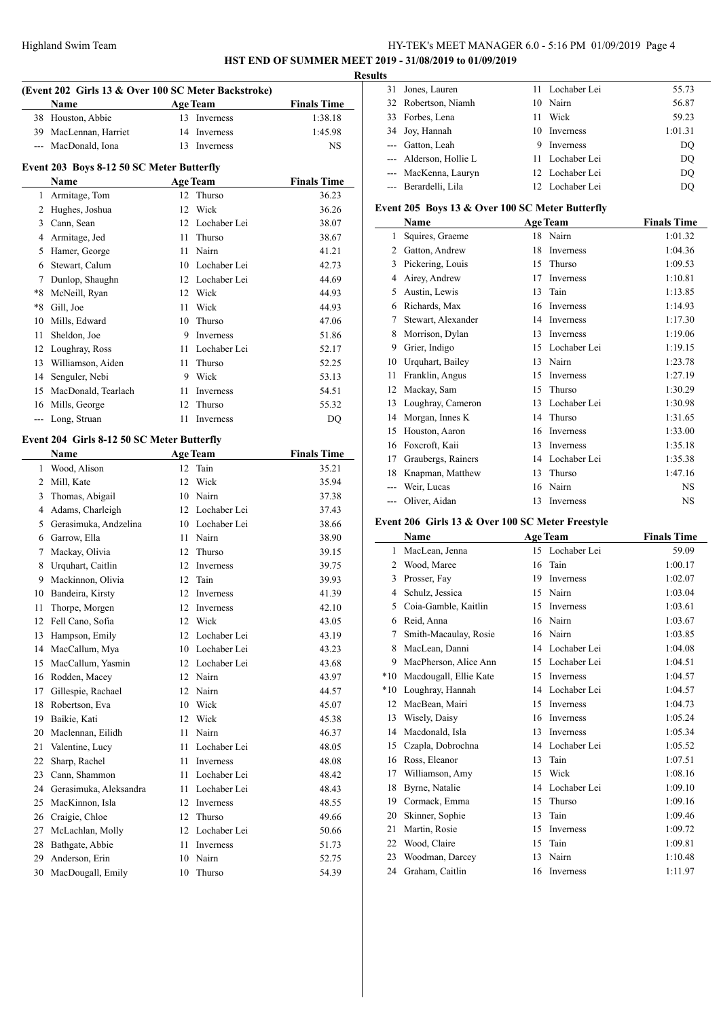# HY-TEK's MEET MANAGER 6.0 - 5:16 PM 01/09/2019 Page 4

**HST END OF SUMMER MEET 2019 - 31/08/2019 to 01/09/2019 Results**

|          | Name                                       |    | <b>Age Team</b> | <b>Finals Time</b> |
|----------|--------------------------------------------|----|-----------------|--------------------|
| 38       | Houston, Abbie                             | 13 | Inverness       | 1:38.18            |
|          | 39 MacLennan, Harriet                      | 14 | Inverness       | 1:45.98            |
|          | --- MacDonald, Iona                        |    | 13 Inverness    | NS                 |
|          | Event 203 Boys 8-12 50 SC Meter Butterfly  |    |                 |                    |
|          | Name                                       |    | <b>Age Team</b> | <b>Finals Time</b> |
|          | 1 Armitage, Tom                            |    | 12 Thurso       | 36.23              |
|          | 2 Hughes, Joshua                           |    | 12 Wick         | 36.26              |
|          | 3 Cann, Sean                               |    | 12 Lochaber Lei | 38.07              |
|          | 4 Armitage, Jed                            | 11 | Thurso          | 38.67              |
|          | 5 Hamer, George                            |    | 11 Nairn        | 41.21              |
|          | 6 Stewart, Calum                           |    | 10 Lochaber Lei | 42.73              |
|          | 7 Dunlop, Shaughn                          |    | 12 Lochaber Lei | 44.69              |
| $*8$     | McNeill, Ryan                              |    | 12 Wick         | 44.93              |
| $*8$     | Gill, Joe                                  |    | 11 Wick         | 44.93              |
|          | 10 Mills, Edward                           |    | 10 Thurso       | 47.06              |
| 11       | Sheldon, Joe                               |    | 9 Inverness     | 51.86              |
|          | 12 Loughray, Ross                          |    | 11 Lochaber Lei | 52.17              |
| 13       | Williamson, Aiden                          |    | 11 Thurso       | 52.25              |
|          | 14 Senguler, Nebi                          |    | 9 Wick          | 53.13              |
|          | 15 MacDonald, Tearlach                     |    | 11 Inverness    | 54.51              |
|          | 16 Mills, George                           | 12 | Thurso          | 55.32              |
| ---      | Long, Struan                               | 11 | Inverness       | DQ                 |
|          | Event 204 Girls 8-12 50 SC Meter Butterfly |    |                 |                    |
|          | Name                                       |    | <b>Age Team</b> | <b>Finals Time</b> |
| 1        | Wood, Alison                               | 12 | Tain            | 35.21              |
|          | 2 Mill, Kate                               | 12 | Wick            | 35.94              |
| 3        | Thomas, Abigail                            |    | 10 Nairn        | 37.38              |
|          | 4 Adams, Charleigh                         |    | 12 Lochaber Lei | 37.43              |
|          | 5 Gerasimuka, Andzelina                    |    | 10 Lochaber Lei | 38.66              |
|          | 6 Garrow, Ella                             |    | 11 Nairn        | 38.90              |
|          | 7 Mackay, Olivia                           |    | 12 Thurso       | 39.15              |
| 8        | Urquhart, Caitlin                          |    | 12 Inverness    | 39.75              |
| 9        | Mackinnon, Olivia                          |    | 12 Tain         | 39.93              |
| 10       | Bandeira, Kirsty                           |    | 12 Inverness    | 41.39              |
| 11       | Thorpe, Morgen                             |    | 12 Inverness    | 42.10              |
| 12       | Fell Cano, Sofia                           | 12 | Wick            | 43.05              |
| 13       | Hampson, Emily                             | 12 | Lochaber Lei    | 43.19              |
| 14       | MacCallum, Mya                             | 10 | Lochaber Lei    | 43.23              |
| 15       | MacCallum, Yasmin                          |    | 12 Lochaber Lei | 43.68              |
| 16       | Rodden, Macey                              |    | 12 Nairn        | 43.97              |
| 17       | Gillespie, Rachael                         |    | 12 Nairn        | 44.57              |
| 18       | Robertson, Eva                             |    | 10 Wick         | 45.07              |
| 19       | Baikie, Kati                               | 12 | Wick            | 45.38              |
| 20       | Maclennan, Eilidh                          | 11 | Nairn           | 46.37              |
| 21       | Valentine, Lucy                            | 11 | Lochaber Lei    | 48.05              |
| 22       | Sharp, Rachel                              | 11 | Inverness       | 48.08              |
| 23       | Cann, Shammon                              | 11 | Lochaber Lei    | 48.42              |
| 24       | Gerasimuka, Aleksandra                     | 11 | Lochaber Lei    | 48.43              |
| 25       | MacKinnon, Isla                            | 12 | Inverness       | 48.55              |
| 26       | Craigie, Chloe                             | 12 | Thurso          | 49.66              |
| 27       | McLachlan, Molly                           |    | 12 Lochaber Lei | 50.66              |
|          | Bathgate, Abbie                            | 11 | Inverness       | 51.73              |
|          |                                            |    |                 |                    |
| 28<br>29 | Anderson, Erin                             | 10 | Nairn           | 52.75              |

| IS. |                        |    |                  |         |
|-----|------------------------|----|------------------|---------|
|     | 31 Jones, Lauren       |    | 11 Lochaber Lei  | 55.73   |
|     | 32 Robertson, Niamh    |    | 10 Nairn         | 56.87   |
|     | 33 Forbes, Lena        | 11 | Wick             | 59.23   |
|     | 34 Joy, Hannah         |    | 10 Inverness     | 1:01.31 |
|     | --- Gatton, Leah       | 9  | <b>Inverness</b> | DQ      |
|     | --- Alderson, Hollie L |    | 11 Lochaber Lei  | DO      |
|     | --- MacKenna, Lauryn   |    | 12 Lochaber Lei  | DO      |
|     | --- Berardelli, Lila   |    | 12 Lochaber Lei  | DO      |

#### **Event 205 Boys 13 & Over 100 SC Meter Butterfly**

|    | Name               |    | <b>Age Team</b>  | <b>Finals Time</b> |
|----|--------------------|----|------------------|--------------------|
| 1  | Squires, Graeme    | 18 | Nairn            | 1:01.32            |
| 2  | Gatton, Andrew     | 18 | Inverness        | 1:04.36            |
| 3  | Pickering, Louis   | 15 | Thurso           | 1:09.53            |
| 4  | Airey, Andrew      | 17 | Inverness        | 1:10.81            |
| 5  | Austin, Lewis      | 13 | Tain             | 1:13.85            |
| 6  | Richards, Max      | 16 | <b>Inverness</b> | 1:14.93            |
| 7  | Stewart, Alexander | 14 | <b>Inverness</b> | 1:17.30            |
| 8  | Morrison, Dylan    | 13 | Inverness        | 1:19.06            |
| 9  | Grier, Indigo      | 15 | Lochaber Lei     | 1:19.15            |
| 10 | Urquhart, Bailey   | 13 | Nairn            | 1:23.78            |
| 11 | Franklin, Angus    | 15 | <b>Inverness</b> | 1:27.19            |
| 12 | Mackay, Sam        | 15 | Thurso           | 1:30.29            |
| 13 | Loughray, Cameron  | 13 | Lochaber Lei     | 1:30.98            |
| 14 | Morgan, Innes K    | 14 | Thurso           | 1:31.65            |
| 15 | Houston, Aaron     | 16 | Inverness        | 1:33.00            |
| 16 | Foxcroft, Kaii     | 13 | <b>Inverness</b> | 1:35.18            |
| 17 | Graubergs, Rainers | 14 | Lochaber Lei     | 1:35.38            |
| 18 | Knapman, Matthew   | 13 | Thurso           | 1:47.16            |
|    | Weir, Lucas        | 16 | Nairn            | <b>NS</b>          |
|    | Oliver, Aidan      | 13 | Inverness        | <b>NS</b>          |

#### **Event 206 Girls 13 & Over 100 SC Meter Freestyle**

|       | Name                   |    | <b>Age Team</b>  | <b>Finals Time</b> |
|-------|------------------------|----|------------------|--------------------|
| 1     | MacLean, Jenna         | 15 | Lochaber Lei     | 59.09              |
| 2     | Wood, Maree            | 16 | Tain             | 1:00.17            |
| 3     | Prosser, Fay           | 19 | Inverness        | 1:02.07            |
| 4     | Schulz, Jessica        | 15 | Nairn            | 1:03.04            |
| 5     | Coia-Gamble, Kaitlin   | 15 | Inverness        | 1:03.61            |
| 6     | Reid, Anna             | 16 | Nairn            | 1:03.67            |
| 7     | Smith-Macaulay, Rosie  | 16 | Nairn            | 1:03.85            |
| 8     | MacLean, Danni         | 14 | Lochaber Lei     | 1:04.08            |
| 9     | MacPherson, Alice Ann  | 15 | Lochaber Lei     | 1:04.51            |
| $*10$ | Macdougall, Ellie Kate | 15 | Inverness        | 1:04.57            |
| $*10$ | Loughray, Hannah       | 14 | Lochaber Lei     | 1:04.57            |
| 12    | MacBean, Mairi         | 15 | <b>Inverness</b> | 1:04.73            |
| 13    | Wisely, Daisy          | 16 | <b>Inverness</b> | 1:05.24            |
| 14    | Macdonald, Isla        | 13 | <b>Inverness</b> | 1:05.34            |
| 15    | Czapla, Dobrochna      | 14 | Lochaber Lei     | 1:05.52            |
| 16    | Ross, Eleanor          | 13 | Tain             | 1:07.51            |
| 17    | Williamson, Amy        | 15 | Wick             | 1:08.16            |
| 18    | Byrne, Natalie         | 14 | Lochaber Lei     | 1:09.10            |
| 19    | Cormack, Emma          | 15 | Thurso           | 1:09.16            |
| 20    | Skinner, Sophie        | 13 | Tain             | 1:09.46            |
| 21    | Martin, Rosie          | 15 | Inverness        | 1:09.72            |
| 22    | Wood, Claire           | 15 | Tain             | 1:09.81            |
| 23    | Woodman, Darcey        | 13 | Nairn            | 1:10.48            |
| 24    | Graham, Caitlin        | 16 | Inverness        | 1:11.97            |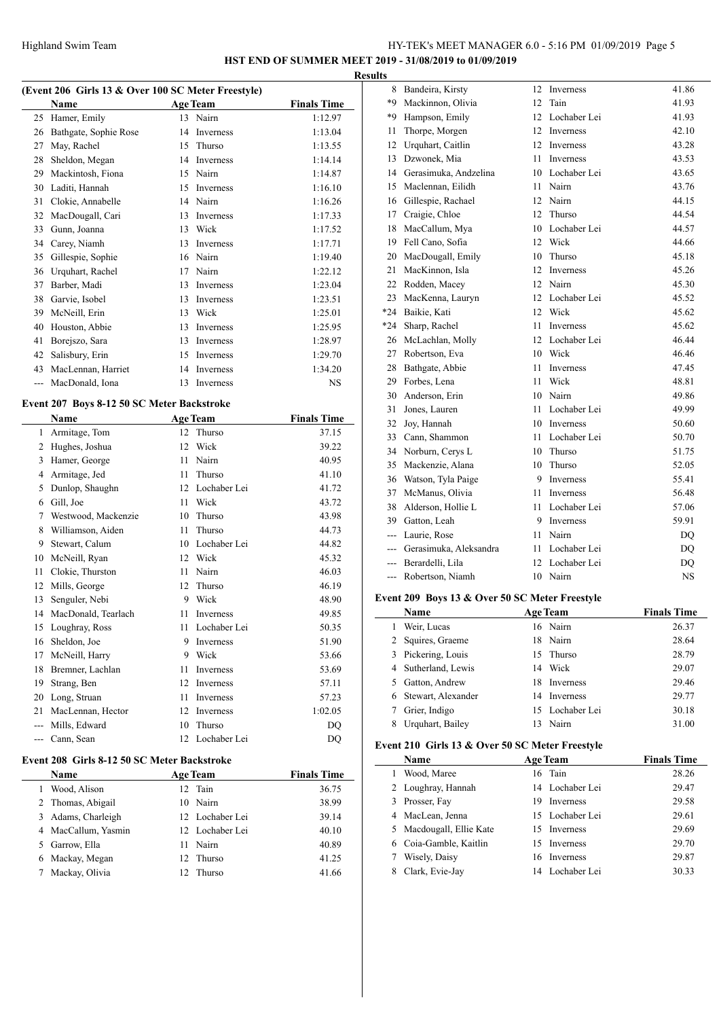# HY-TEK's MEET MANAGER 6.0 - 5:16 PM 01/09/2019 Page 5

**HST END OF SUMMER MEET 2019 - 31/08/2019 to 01/09/2019 Results**

# **(Event 206 Girls 13 & Over 100 SC Meter Freestyle)**

| EVERY 200 QHTS TO $\alpha$ OVER 100 SC MEET PRESTYIES |                       |    |                 |                    |  |
|-------------------------------------------------------|-----------------------|----|-----------------|--------------------|--|
|                                                       | Name                  |    | <b>Age Team</b> | <b>Finals Time</b> |  |
| 25                                                    | Hamer, Emily          | 13 | Nairn           | 1:12.97            |  |
| 26                                                    | Bathgate, Sophie Rose | 14 | Inverness       | 1:13.04            |  |
| 27                                                    | May, Rachel           | 15 | Thurso          | 1:13.55            |  |
| 28                                                    | Sheldon, Megan        | 14 | Inverness       | 1:14.14            |  |
| 29                                                    | Mackintosh, Fiona     | 15 | Nairn           | 1:14.87            |  |
| 30                                                    | Laditi, Hannah        | 15 | Inverness       | 1:16.10            |  |
| 31                                                    | Clokie, Annabelle     | 14 | Nairn           | 1:16.26            |  |
| 32                                                    | MacDougall, Cari      | 13 | Inverness       | 1:17.33            |  |
| 33                                                    | Gunn, Joanna          | 13 | Wick            | 1:17.52            |  |
| 34                                                    | Carey, Niamh          | 13 | Inverness       | 1:17.71            |  |
| 35                                                    | Gillespie, Sophie     | 16 | Nairn           | 1:19.40            |  |
| 36                                                    | Urquhart, Rachel      | 17 | Nairn           | 1:22.12            |  |
| 37                                                    | Barber, Madi          | 13 | Inverness       | 1:23.04            |  |
| 38                                                    | Garvie, Isobel        | 13 | Inverness       | 1:23.51            |  |
| 39                                                    | McNeill, Erin         | 13 | Wick            | 1:25.01            |  |
| 40                                                    | Houston, Abbie        | 13 | Inverness       | 1:25.95            |  |
| 41                                                    | Borejszo, Sara        | 13 | Inverness       | 1:28.97            |  |
| 42                                                    | Salisbury, Erin       | 15 | Inverness       | 1:29.70            |  |
| 43                                                    | MacLennan, Harriet    | 14 | Inverness       | 1:34.20            |  |
| ---                                                   | MacDonald, Iona       | 13 | Inverness       | <b>NS</b>          |  |

# **Event 207 Boys 8-12 50 SC Meter Backstroke**

 $\frac{1}{1}$ 

 $\overline{\phantom{a}}$ 

|     | Name                |    | <b>Age Team</b> | <b>Finals Time</b> |
|-----|---------------------|----|-----------------|--------------------|
| 1   | Armitage, Tom       | 12 | Thurso          | 37.15              |
| 2   | Hughes, Joshua      | 12 | Wick            | 39.22              |
| 3   | Hamer, George       | 11 | Nairn           | 40.95              |
| 4   | Armitage, Jed       | 11 | Thurso          | 41.10              |
| 5   | Dunlop, Shaughn     | 12 | Lochaber Lei    | 41.72              |
| 6   | Gill, Joe           | 11 | Wick            | 43.72              |
| 7   | Westwood, Mackenzie | 10 | Thurso          | 43.98              |
| 8   | Williamson, Aiden   | 11 | Thurso          | 44.73              |
| 9   | Stewart, Calum      | 10 | Lochaber Lei    | 44.82              |
| 10  | McNeill, Ryan       | 12 | Wick            | 45.32              |
| 11  | Clokie, Thurston    | 11 | Nairn           | 46.03              |
| 12  | Mills, George       | 12 | Thurso          | 46.19              |
| 13  | Senguler, Nebi      | 9  | Wick            | 48.90              |
| 14  | MacDonald, Tearlach | 11 | Inverness       | 49.85              |
| 15  | Loughray, Ross      | 11 | Lochaber Lei    | 50.35              |
| 16  | Sheldon, Joe        | 9  | Inverness       | 51.90              |
| 17  | McNeill, Harry      | 9  | Wick            | 53.66              |
| 18  | Bremner, Lachlan    | 11 | Inverness       | 53.69              |
| 19  | Strang, Ben         | 12 | Inverness       | 57.11              |
| 20  | Long, Struan        | 11 | Inverness       | 57.23              |
| 21  | MacLennan, Hector   | 12 | Inverness       | 1:02.05            |
| --- | Mills, Edward       | 10 | Thurso          | DO                 |
|     | Cann, Sean          | 12 | Lochaber Lei    | DQ                 |
|     |                     |    |                 |                    |

# **Event 208 Girls 8-12 50 SC Meter Backstroke**

| <b>Name</b>    |                                                                             | <b>Finals Time</b>                                                                                               |
|----------------|-----------------------------------------------------------------------------|------------------------------------------------------------------------------------------------------------------|
| Wood, Alison   |                                                                             | 36.75                                                                                                            |
|                |                                                                             | 38.99                                                                                                            |
|                |                                                                             | 39.14                                                                                                            |
|                |                                                                             | 40.10                                                                                                            |
| Garrow, Ella   | 11                                                                          | 40.89                                                                                                            |
|                |                                                                             | 41.25                                                                                                            |
| Mackay, Olivia |                                                                             | 41.66                                                                                                            |
|                | 2 Thomas, Abigail<br>Adams, Charleigh<br>MacCallum, Yasmin<br>Mackay, Megan | <b>Age Team</b><br>12 Tain<br>10 Nairn<br>12 Lochaber Lei<br>12 Lochaber Lei<br>Nairn<br>12 Thurso<br>12. Thurso |

| 8     | Bandeira, Kirsty           | 12              | Inverness        | 41.86     |
|-------|----------------------------|-----------------|------------------|-----------|
| *9    | Mackinnon, Olivia          | 12 <sub>1</sub> | Tain             | 41.93     |
| *9    | Hampson, Emily             | 12              | Lochaber Lei     | 41.93     |
| 11    | Thorpe, Morgen             |                 | 12 Inverness     | 42.10     |
| 12    | Urquhart, Caitlin          |                 | 12 Inverness     | 43.28     |
| 13    | Dzwonek, Mia               | 11.             | <b>Inverness</b> | 43.53     |
|       | 14 Gerasimuka, Andzelina   |                 | 10 Lochaber Lei  | 43.65     |
| 15    | Maclennan, Eilidh          |                 | 11 Nairn         | 43.76     |
|       | 16 Gillespie, Rachael      |                 | 12 Nairn         | 44.15     |
| 17    | Craigie, Chloe             | 12 <sup>7</sup> | Thurso           | 44.54     |
| 18    | MacCallum, Mya             |                 | 10 Lochaber Lei  | 44.57     |
| 19    | Fell Cano, Sofia           |                 | 12 Wick          | 44.66     |
| 20    | MacDougall, Emily          | 10              | Thurso           | 45.18     |
| 21    | MacKinnon, Isla            | 12              | <b>Inverness</b> | 45.26     |
| 22    | Rodden, Macey              |                 | 12 Nairn         | 45.30     |
| 23    | MacKenna, Lauryn           |                 | 12 Lochaber Lei  | 45.52     |
| $*24$ | Baikie, Kati               | 12              | Wick             | 45.62     |
| $*24$ | Sharp, Rachel              | 11.             | Inverness        | 45.62     |
| 26    | McLachlan, Molly           | 12              | Lochaber Lei     | 46.44     |
| 27    | Robertson, Eva             |                 | 10 Wick          | 46.46     |
| 28    | Bathgate, Abbie            | 11              | <b>Inverness</b> | 47.45     |
| 29    | Forbes, Lena               | 11              | Wick             | 48.81     |
| 30    | Anderson, Erin             |                 | 10 Nairn         | 49.86     |
| 31    | Jones, Lauren              | 11              | Lochaber Lei     | 49.99     |
| 32    | Joy, Hannah                |                 | 10 Inverness     | 50.60     |
| 33    | Cann, Shammon              | 11              | Lochaber Lei     | 50.70     |
| 34    | Norburn, Cerys L           | 10              | Thurso           | 51.75     |
| 35    | Mackenzie, Alana           | 10              | Thurso           | 52.05     |
|       | 36 Watson, Tyla Paige      | 9.              | Inverness        | 55.41     |
| 37    | McManus, Olivia            | 11.             | <b>Inverness</b> | 56.48     |
| 38    | Alderson, Hollie L         | 11              | Lochaber Lei     | 57.06     |
|       | 39 Gatton, Leah            |                 | 9 Inverness      | 59.91     |
|       | --- Laurie, Rose           | 11              | Nairn            | DQ        |
|       | --- Gerasimuka, Aleksandra | 11              | Lochaber Lei     | <b>DQ</b> |
|       | --- Berardelli, Lila       |                 | 12 Lochaber Lei  | DQ        |
|       | --- Robertson, Niamh       |                 | 10 Nairn         | <b>NS</b> |
|       |                            |                 |                  |           |

# **Event 209 Boys 13 & Over 50 SC Meter Freestyle**

 $\frac{1}{2}$ 

| Name                 |     | <b>Age Team</b> | <b>Finals Time</b> |
|----------------------|-----|-----------------|--------------------|
| Weir, Lucas          |     | 16 Nairn        | 26.37              |
| 2 Squires, Graeme    |     | 18 Nairn        | 28.64              |
| 3 Pickering, Louis   |     | 15 Thurso       | 28.79              |
| 4 Sutherland, Lewis  |     | 14 Wick         | 29.07              |
| Gatton, Andrew       |     | 18 Inverness    | 29.46              |
| 6 Stewart, Alexander |     | 14 Inverness    | 29.77              |
| Grier, Indigo        |     | 15 Lochaber Lei | 30.18              |
| Urquhart, Bailey     | 13. | Nairn           | 31.00              |

# **Event 210 Girls 13 & Over 50 SC Meter Freestyle**

|  |   | Name                     |    | <b>Age Team</b> | <b>Finals Time</b> |  |
|--|---|--------------------------|----|-----------------|--------------------|--|
|  |   | Wood, Maree              |    | 16 Tain         | 28.26              |  |
|  |   | 2 Loughray, Hannah       |    | 14 Lochaber Lei | 29.47              |  |
|  |   | 3 Prosser, Fay           | 19 | Inverness       | 29.58              |  |
|  |   | 4 MacLean, Jenna         |    | 15 Lochaber Lei | 29.61              |  |
|  |   | 5 Macdougall, Ellie Kate |    | 15 Inverness    | 29.69              |  |
|  |   | 6 Coia-Gamble, Kaitlin   |    | 15 Inverness    | 29.70              |  |
|  | 7 | Wisely, Daisy            |    | 16 Inverness    | 29.87              |  |
|  | 8 | Clark, Evie-Jay          |    | 14 Lochaber Lei | 30.33              |  |
|  |   |                          |    |                 |                    |  |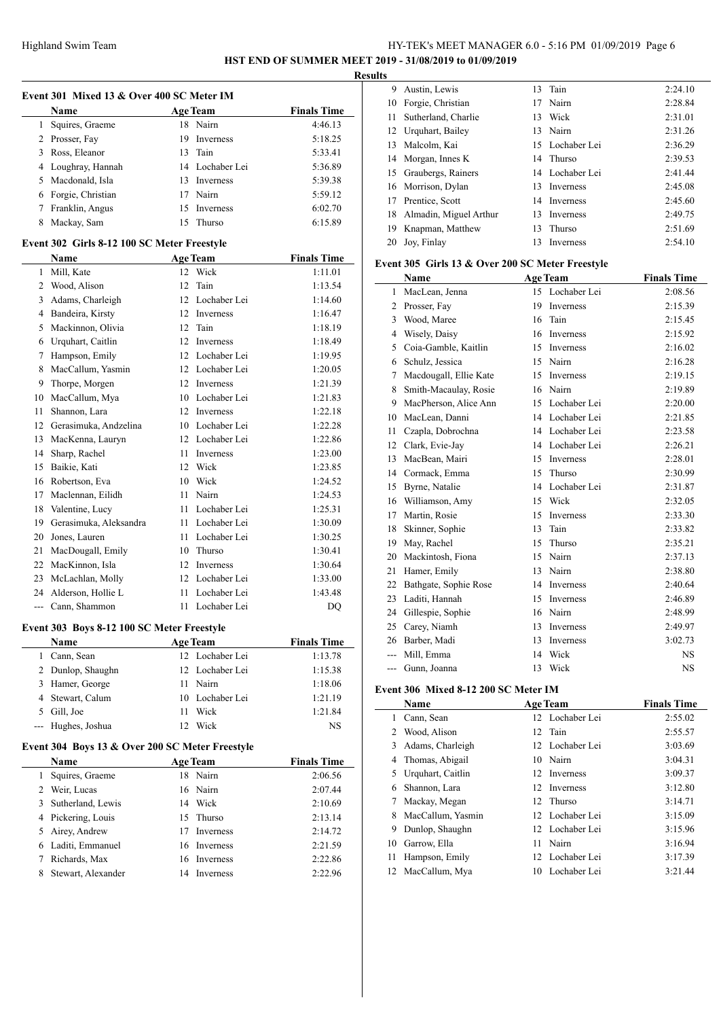# HY-TEK's MEET MANAGER 6.0 - 5:16 PM 01/09/2019 Page 6 **HST END OF SUMMER MEET 2019 - 31/08/2019 to 01/09/2019**

**Results**

| Event 301 Mixed 13 & Over 400 SC Meter IM |                                             |    |                  |                    |  |
|-------------------------------------------|---------------------------------------------|----|------------------|--------------------|--|
|                                           | Name                                        |    | <b>Age Team</b>  | <b>Finals Time</b> |  |
| 1                                         | Squires, Graeme                             | 18 | Nairn            | 4:46.13            |  |
| $\overline{c}$                            | Prosser, Fay                                | 19 | <b>Inverness</b> | 5:18.25            |  |
| 3                                         | Ross, Eleanor                               | 13 | Tain             | 5:33.41            |  |
|                                           | 4 Loughray, Hannah                          |    | 14 Lochaber Lei  | 5:36.89            |  |
| 5.                                        | Macdonald, Isla                             |    | 13 Inverness     | 5:39.38            |  |
| 6                                         | Forgie, Christian                           | 17 | Nairn            | 5:59.12            |  |
| 7                                         | Franklin, Angus                             | 15 | Inverness        | 6:02.70            |  |
| 8                                         | Mackay, Sam                                 | 15 | Thurso           | 6:15.89            |  |
|                                           | Event 302 Girls 8-12 100 SC Meter Freestyle |    |                  |                    |  |
|                                           | Name                                        |    | <b>Age Team</b>  | <b>Finals Time</b> |  |
| $\mathbf{1}$                              | Mill, Kate                                  |    | 12 Wick          | 1:11.01            |  |
| $\overline{2}$                            | Wood, Alison                                | 12 | Tain             | 1:13.54            |  |
| 3                                         | Adams, Charleigh                            |    | 12 Lochaber Lei  | 1:14.60            |  |
| $\overline{4}$                            | Bandeira, Kirsty                            |    | 12 Inverness     | 1:16.47            |  |
| 5                                         | Mackinnon, Olivia                           | 12 | Tain             | 1:18.19            |  |
| 6                                         | Urquhart, Caitlin                           |    | 12 Inverness     | 1:18.49            |  |
| 7                                         | Hampson, Emily                              |    | 12 Lochaber Lei  | 1:19.95            |  |
| 8                                         | MacCallum, Yasmin                           |    | 12 Lochaber Lei  | 1:20.05            |  |
| 9                                         | Thorpe, Morgen                              |    | 12 Inverness     | 1:21.39            |  |
| 10                                        | MacCallum, Mya                              |    | 10 Lochaber Lei  | 1:21.83            |  |
| 11                                        | Shannon, Lara                               |    | 12 Inverness     | 1:22.18            |  |
| 12.                                       | Gerasimuka, Andzelina                       |    | 10 Lochaber Lei  | 1:22.28            |  |
| 13                                        | MacKenna, Lauryn                            |    | 12 Lochaber Lei  | 1:22.86            |  |
| 14                                        | Sharp, Rachel                               |    | 11 Inverness     | 1:23.00            |  |
| 15                                        | Baikie, Kati                                |    | 12 Wick          | 1:23.85            |  |
| 16                                        | Robertson, Eva                              |    | 10 Wick          | 1:24.52            |  |
| 17                                        | Maclennan, Eilidh                           |    | 11 Nairn         | 1:24.53            |  |
| 18                                        | Valentine, Lucy                             |    | 11 Lochaber Lei  | 1:25.31            |  |
| 19                                        | Gerasimuka, Aleksandra                      |    | 11 Lochaber Lei  | 1:30.09            |  |
| 20                                        | Jones, Lauren                               |    | 11 Lochaber Lei  | 1:30.25            |  |
| 21                                        | MacDougall, Emily                           |    | 10 Thurso        | 1:30.41            |  |
| 22                                        | MacKinnon, Isla                             | 12 | Inverness        | 1:30.64            |  |
| 23                                        | McLachlan, Molly                            |    | 12 Lochaber Lei  | 1:33.00            |  |
| 24                                        | Alderson, Hollie L                          | 11 | Lochaber Lei     | 1:43.48            |  |
| $\overline{a}$                            | Cann, Shammon                               | 11 | Lochaber Lei     | <b>DQ</b>          |  |

# **Event 303 Boys 8-12 100 SC Meter Freestyle**

| Name               | <b>Age Team</b> | <b>Finals Time</b> |
|--------------------|-----------------|--------------------|
| Cann, Sean         | 12 Lochaber Lei | 1:13.78            |
| 2 Dunlop, Shaughn  | 12 Lochaber Lei | 1:15.38            |
| 3 Hamer, George    | Nairn<br>11     | 1:18.06            |
| 4 Stewart, Calum   | 10 Lochaber Lei | 1:21.19            |
| 5 Gill, Joe        | Wick<br>11      | 1:21.84            |
| --- Hughes, Joshua | Wick<br>12.     | <b>NS</b>          |

# **Event 304 Boys 13 & Over 200 SC Meter Freestyle**

|   | <b>Name</b>        | <b>Age Team</b> |              | <b>Finals Time</b> |
|---|--------------------|-----------------|--------------|--------------------|
|   | Squires, Graeme    |                 | 18 Nairn     | 2:06.56            |
|   | 2 Weir, Lucas      |                 | 16 Nairn     | 2:07.44            |
| 3 | Sutherland, Lewis  |                 | 14 Wick      | 2:10.69            |
|   | 4 Pickering, Louis |                 | 15 Thurso    | 2:13.14            |
|   | 5 Airey, Andrew    |                 | 17 Inverness | 2:14.72            |
|   | 6 Laditi, Emmanuel |                 | 16 Inverness | 2:21.59            |
|   | Richards, Max      |                 | 16 Inverness | 2:22.86            |
| 8 | Stewart, Alexander | 14              | Inverness    | 2:22.96            |

| 9  | Austin, Lewis             |    | 13 Tain         | 2:24.10 |
|----|---------------------------|----|-----------------|---------|
| 10 | Forgie, Christian         |    | 17 Nairn        | 2:28.84 |
| 11 | Sutherland, Charlie       | 13 | Wick            | 2:31.01 |
|    | 12 Urquhart, Bailey       |    | 13 Nairn        | 2:31.26 |
| 13 | Malcolm. Kai              |    | 15 Lochaber Lei | 2:36.29 |
|    | 14 Morgan, Innes K        |    | 14 Thurso       | 2:39.53 |
|    | 15 Graubergs, Rainers     |    | 14 Lochaber Lei | 2:41.44 |
|    | 16 Morrison, Dylan        | 13 | Inverness       | 2:45.08 |
| 17 | Prentice, Scott           |    | 14 Inverness    | 2:45.60 |
|    | 18 Almadin, Miguel Arthur | 13 | Inverness       | 2:49.75 |
| 19 | Knapman, Matthew          | 13 | Thurso          | 2:51.69 |
| 20 | Joy, Finlay               | 13 | Inverness       | 2:54.10 |
|    |                           |    |                 |         |

#### **Event 305 Girls 13 & Over 200 SC Meter Freestyle**

|       | Name                   |    | <b>Age Team</b>  | <b>Finals Time</b> |
|-------|------------------------|----|------------------|--------------------|
| 1     | MacLean, Jenna         |    | 15 Lochaber Lei  | 2:08.56            |
| 2     | Prosser, Fay           | 19 | <b>Inverness</b> | 2:15.39            |
| 3     | Wood, Maree            | 16 | Tain             | 2:15.45            |
| 4     | Wisely, Daisy          | 16 | Inverness        | 2:15.92            |
| 5     | Coia-Gamble, Kaitlin   | 15 | <b>Inverness</b> | 2:16.02            |
| 6     | Schulz, Jessica        |    | 15 Nairn         | 2:16.28            |
| 7     | Macdougall, Ellie Kate | 15 | <b>Inverness</b> | 2:19.15            |
| 8     | Smith-Macaulay, Rosie  | 16 | Nairn            | 2:19.89            |
| 9     | MacPherson, Alice Ann  | 15 | Lochaber Lei     | 2:20.00            |
| 10    | MacLean, Danni         | 14 | Lochaber Lei     | 2:21.85            |
| 11    | Czapla, Dobrochna      | 14 | Lochaber Lei     | 2:23.58            |
| 12    | Clark, Evie-Jay        | 14 | Lochaber Lei     | 2:26.21            |
| 13    | MacBean, Mairi         | 15 | <b>Inverness</b> | 2:28.01            |
| 14    | Cormack, Emma          | 15 | Thurso           | 2:30.99            |
| 15    | Byrne, Natalie         | 14 | Lochaber Lei     | 2:31.87            |
| 16    | Williamson, Amy        | 15 | Wick             | 2:32.05            |
| 17    | Martin, Rosie          | 15 | <b>Inverness</b> | 2:33.30            |
| 18    | Skinner, Sophie        | 13 | Tain             | 2:33.82            |
| 19    | May, Rachel            | 15 | Thurso           | 2:35.21            |
| 20    | Mackintosh, Fiona      |    | 15 Nairn         | 2:37.13            |
| 21    | Hamer, Emily           | 13 | Nairn            | 2:38.80            |
| 22    | Bathgate, Sophie Rose  | 14 | Inverness        | 2:40.64            |
| 23    | Laditi, Hannah         | 15 | Inverness        | 2:46.89            |
| 24    | Gillespie, Sophie      | 16 | Nairn            | 2:48.99            |
| 25    | Carey, Niamh           | 13 | Inverness        | 2:49.97            |
| 26    | Barber, Madi           | 13 | Inverness        | 3:02.73            |
|       | Mill. Emma             | 14 | Wick             | <b>NS</b>          |
| $---$ | Gunn, Joanna           | 13 | Wick             | <b>NS</b>          |

#### **Event 306 Mixed 8-12 200 SC Meter IM**

 $\overline{\phantom{a}}$ 

|    | Name              |     | <b>Age Team</b> | <b>Finals Time</b> |
|----|-------------------|-----|-----------------|--------------------|
|    | Cann, Sean        |     | 12 Lochaber Lei | 2:55.02            |
| 2  | Wood, Alison      |     | 12 Tain         | 2:55.57            |
| 3  | Adams, Charleigh  |     | 12 Lochaber Lei | 3:03.69            |
| 4  | Thomas, Abigail   |     | 10 Nairn        | 3:04.31            |
| 5  | Urquhart, Caitlin | 12. | Inverness       | 3:09.37            |
| 6  | Shannon, Lara     | 12. | Inverness       | 3:12.80            |
| 7  | Mackay, Megan     |     | 12 Thurso       | 3:14.71            |
| 8  | MacCallum, Yasmin |     | 12 Lochaber Lei | 3:15.09            |
| 9  | Dunlop, Shaughn   |     | 12 Lochaber Lei | 3:15.96            |
| 10 | Garrow, Ella      | 11  | Nairn           | 3:16.94            |
| 11 | Hampson, Emily    | 12. | Lochaber Lei    | 3:17.39            |
| 12 | MacCallum, Mya    | 10  | - Lochaber Lei  | 3:21.44            |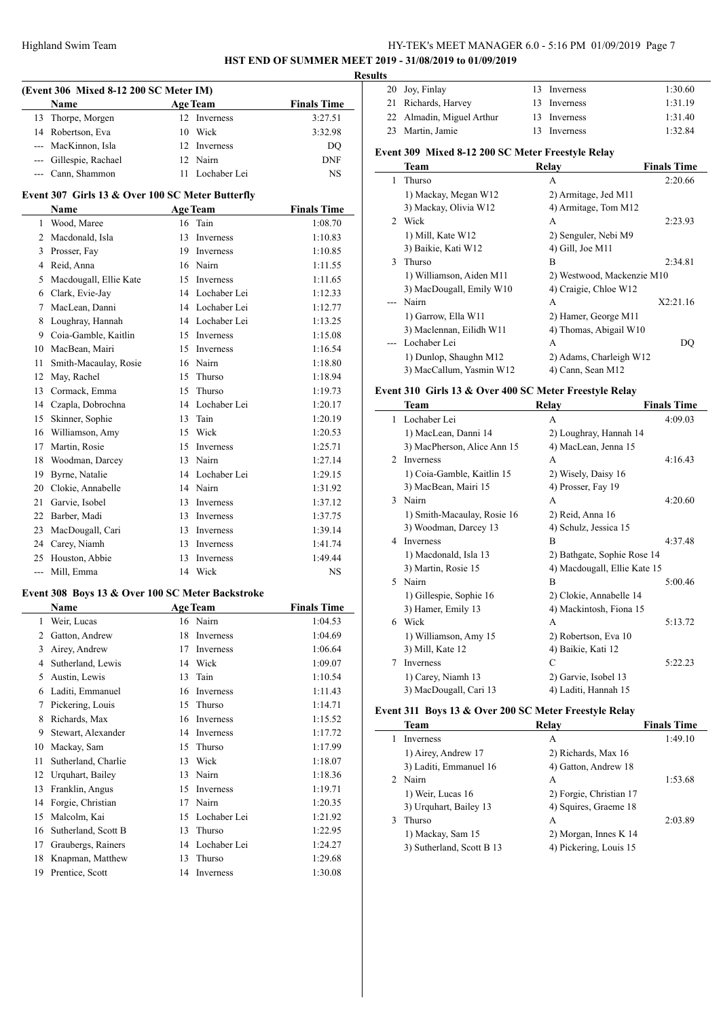# HY-TEK's MEET MANAGER 6.0 - 5:16 PM 01/09/2019 Page 7 **HST END OF SUMMER MEET 2019 - 31/08/2019 to 01/09/2019**

**Results**

|              | (Event 306 Mixed 8-12 200 SC Meter IM)                                                |    |                  |                    |
|--------------|---------------------------------------------------------------------------------------|----|------------------|--------------------|
|              | Name                                                                                  |    | Age Team         | <b>Finals Time</b> |
| 13           | Thorpe, Morgen                                                                        | 12 | Inverness        | 3:27.51            |
|              | 14 Robertson, Eva                                                                     | 10 | Wick             | 3:32.98            |
|              | --- MacKinnon, Isla                                                                   | 12 | Inverness        | DQ                 |
|              | --- Gillespie, Rachael                                                                |    | 12 Nairn         | DNF                |
|              | --- Cann, Shammon                                                                     |    | 11 Lochaber Lei  | NS                 |
|              | Event 307 Girls 13 & Over 100 SC Meter Butterfly                                      |    |                  |                    |
|              | Name                                                                                  |    | <b>Age Team</b>  | <b>Finals Time</b> |
|              | 1 Wood, Maree                                                                         |    | 16 Tain          | 1:08.70            |
|              | 2 Macdonald, Isla                                                                     | 13 | Inverness        | 1:10.83            |
|              | 3 Prosser, Fay                                                                        |    | 19 Inverness     | 1:10.85            |
|              | 4 Reid, Anna                                                                          |    | 16 Nairn         | 1:11.55            |
|              | 5 Macdougall, Ellie Kate                                                              |    | 15 Inverness     | 1:11.65            |
|              | 6 Clark, Evie-Jay                                                                     |    | 14 Lochaber Lei  | 1:12.33            |
|              | 7 MacLean, Danni                                                                      |    | 14 Lochaber Lei  | 1:12.77            |
| 8            | Loughray, Hannah                                                                      |    | 14 Lochaber Lei  | 1:13.25            |
|              | 9 Coia-Gamble, Kaitlin                                                                |    | 15 Inverness     | 1:15.08            |
|              | 10 MacBean, Mairi                                                                     |    | 15 Inverness     | 1:16.54            |
| 11           | Smith-Macaulay, Rosie                                                                 |    | 16 Nairn         | 1:18.80            |
|              | 12 May, Rachel                                                                        | 15 | Thurso           | 1:18.94            |
|              | 13 Cormack, Emma                                                                      | 15 | Thurso           | 1:19.73            |
|              | 14 Czapla, Dobrochna                                                                  |    | 14 Lochaber Lei  | 1:20.17            |
| 15           | Skinner, Sophie                                                                       | 13 | Tain             | 1:20.19            |
|              | 16 Williamson, Amy                                                                    | 15 | Wick             | 1:20.53            |
|              | 17 Martin, Rosie                                                                      | 15 | Inverness        | 1:25.71            |
| 18           | Woodman, Darcey                                                                       |    | 13 Nairn         | 1:27.14            |
|              | 19 Byrne, Natalie                                                                     |    | 14 Lochaber Lei  | 1:29.15            |
|              |                                                                                       |    |                  |                    |
|              | 20 Clokie, Annabelle                                                                  |    | 14 Nairn         | 1:31.92            |
| 21           | Garvie, Isobel                                                                        | 13 | Inverness        | 1:37.12            |
|              | 22 Barber, Madi                                                                       | 13 | Inverness        | 1:37.75            |
| 23           | MacDougall, Cari                                                                      | 13 | Inverness        | 1:39.14            |
|              | 24 Carey, Niamh                                                                       | 13 | Inverness        | 1:41.74            |
|              | 25 Houston, Abbie                                                                     | 13 | <b>Inverness</b> | 1:49.44            |
| $---$        | Mill, Emma                                                                            |    | 14 Wick          | NS                 |
|              | Event 308 Boys 13 & Over 100 SC Meter Backstroke<br><b>Example 2</b> Age Team<br>Name |    |                  | <b>Finals Time</b> |
| $\mathbf{1}$ | Weir, Lucas                                                                           |    | 16 Nairn         | 1:04.53            |
| 2            | Gatton, Andrew                                                                        | 18 | Inverness        | 1:04.69            |
| 3            | Airey, Andrew                                                                         | 17 | Inverness        | 1:06.64            |
| 4            | Sutherland, Lewis                                                                     | 14 | Wick             | 1:09.07            |
| 5            | Austin, Lewis                                                                         | 13 | Tain             | 1:10.54            |
| 6            | Laditi, Emmanuel                                                                      | 16 | Inverness        | 1:11.43            |
| 7            | Pickering, Louis                                                                      | 15 | Thurso           | 1:14.71            |
| 8            | Richards, Max                                                                         | 16 | Inverness        | 1:15.52            |
| 9            | Stewart, Alexander                                                                    | 14 | Inverness        | 1:17.72            |
| 10           | Mackay, Sam                                                                           | 15 | Thurso           | 1:17.99            |
|              | Sutherland, Charlie                                                                   |    | Wick             |                    |
| 11           |                                                                                       | 13 |                  | 1:18.07            |

13 Franklin, Angus 15 Inverness 1:19.71 14 Forgie, Christian 17 Nairn 1:20.35 15 Malcolm, Kai 15 Lochaber Lei 1:21.92 16 Sutherland, Scott B 13 Thurso 1:22.95 17 Graubergs, Rainers 14 Lochaber Lei 1:24.27 18 Knapman, Matthew 13 Thurso 1:29.68 19 Prentice, Scott 14 Inverness 1:30.08

| 20 Joy, Finlay            | 13 Inverness | 1:30.60 |
|---------------------------|--------------|---------|
| 21 Richards, Harvey       | 13 Inverness | 1:31.19 |
| 22 Almadin, Miguel Arthur | 13 Inverness | 1:31.40 |
| 23 Martin, Jamie          | 13 Inverness | 1:32.84 |

#### **Event 309 Mixed 8-12 200 SC Meter Freestyle Relay**

|             | <b>Team</b>              | Relay                      | <b>Finals Time</b> |
|-------------|--------------------------|----------------------------|--------------------|
| 1.          | Thurso                   | А                          | 2:20.66            |
|             | 1) Mackay, Megan W12     | 2) Armitage, Jed M11       |                    |
|             | 3) Mackay, Olivia W12    | 4) Armitage, Tom M12       |                    |
| $2^{\circ}$ | Wick                     | A                          | 2:23.93            |
|             | 1) Mill, Kate W12        | 2) Senguler, Nebi M9       |                    |
|             | 3) Baikie, Kati W12      | 4) Gill, Joe M11           |                    |
| 3           | Thurso                   | B                          | 2:34.81            |
|             | 1) Williamson, Aiden M11 | 2) Westwood, Mackenzie M10 |                    |
|             | 3) MacDougall, Emily W10 | 4) Craigie, Chloe W12      |                    |
|             | Nairn                    | A                          | X2:21.16           |
|             | 1) Garrow, Ella W11      | 2) Hamer, George M11       |                    |
|             | 3) Maclennan, Eilidh W11 | 4) Thomas, Abigail W10     |                    |
|             | Lochaber Lei             | A                          | DO                 |
|             | 1) Dunlop, Shaughn M12   | 2) Adams, Charleigh W12    |                    |
|             | 3) MacCallum, Yasmin W12 | 4) Cann, Sean M12          |                    |

#### **Event 310 Girls 13 & Over 400 SC Meter Freestyle Relay**

|                | Team                        | Relay                        | <b>Finals Time</b> |
|----------------|-----------------------------|------------------------------|--------------------|
| 1              | Lochaber Lei                | A                            | 4:09.03            |
|                | 1) MacLean, Danni 14        | 2) Loughray, Hannah 14       |                    |
|                | 3) MacPherson, Alice Ann 15 | 4) MacLean, Jenna 15         |                    |
| $\mathfrak{D}$ | <b>Inverness</b>            | A                            | 4:16.43            |
|                | 1) Coia-Gamble, Kaitlin 15  | 2) Wisely, Daisy 16          |                    |
|                | 3) MacBean, Mairi 15        | 4) Prosser, Fay 19           |                    |
| 3              | Nairn                       | А                            | 4:20.60            |
|                | 1) Smith-Macaulay, Rosie 16 | 2) Reid, Anna 16             |                    |
|                | 3) Woodman, Darcey 13       | 4) Schulz, Jessica 15        |                    |
| 4              | <b>Inverness</b>            | B                            | 4:37.48            |
|                | 1) Macdonald, Isla 13       | 2) Bathgate, Sophie Rose 14  |                    |
|                | 3) Martin, Rosie 15         | 4) Macdougall, Ellie Kate 15 |                    |
| 5              | Nairn                       | B                            | 5:00.46            |
|                | 1) Gillespie, Sophie 16     | 2) Clokie, Annabelle 14      |                    |
|                | 3) Hamer, Emily 13          | 4) Mackintosh, Fiona 15      |                    |
| 6              | Wick                        | A                            | 5:13.72            |
|                | 1) Williamson, Amy 15       | 2) Robertson, Eva 10         |                    |
|                | 3) Mill, Kate 12            | 4) Baikie, Kati 12           |                    |
| 7              | Inverness                   | C                            | 5:22.23            |
|                | 1) Carey, Niamh 13          | 2) Garvie, Isobel 13         |                    |
|                | 3) MacDougall, Cari 13      | 4) Laditi, Hannah 15         |                    |

#### **Event 311 Boys 13 & Over 200 SC Meter Freestyle Relay**

|   | Team                      | Relay                   | <b>Finals Time</b> |
|---|---------------------------|-------------------------|--------------------|
|   | <b>Inverness</b>          | A                       | 1:49.10            |
|   | 1) Airey, Andrew 17       | 2) Richards, Max 16     |                    |
|   | 3) Laditi, Emmanuel 16    | 4) Gatton, Andrew 18    |                    |
|   | 2 Nairn                   | A                       | 1:53.68            |
|   | 1) Weir, Lucas 16         | 2) Forgie, Christian 17 |                    |
|   | 3) Urquhart, Bailey 13    | 4) Squires, Graeme 18   |                    |
| 3 | <b>Thurso</b>             | A                       | 2:03.89            |
|   | 1) Mackay, Sam 15         | 2) Morgan, Innes K 14   |                    |
|   | 3) Sutherland, Scott B 13 | 4) Pickering, Louis 15  |                    |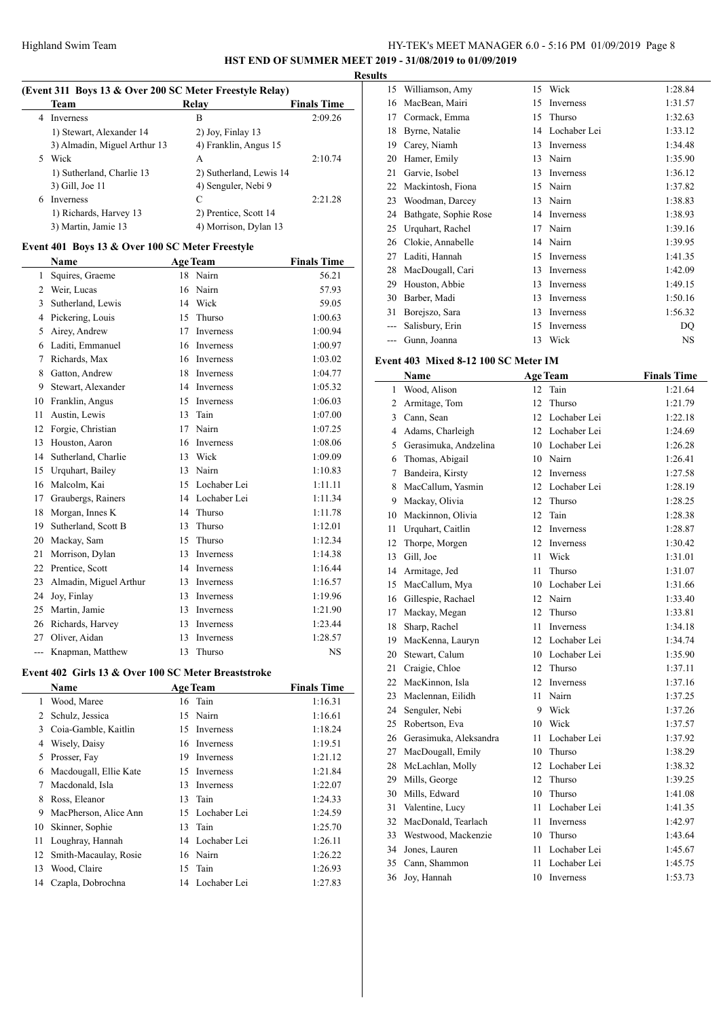# HY-TEK's MEET MANAGER 6.0 - 5:16 PM 01/09/2019 Page 8

**HST END OF SUMMER MEET 2019 - 31/08/2019 to 01/09/2019**

**Results**

# **(Event 311 Boys 13 & Over 200 SC Meter Freestyle Relay)**

| Team                         | Relav                 | <b>Finals Time</b>      |  |  |
|------------------------------|-----------------------|-------------------------|--|--|
| <b>Inverness</b>             | В                     | 2:09.26                 |  |  |
| 1) Stewart, Alexander 14     | 2) Joy, Finlay 13     |                         |  |  |
| 3) Almadin, Miguel Arthur 13 | 4) Franklin, Angus 15 |                         |  |  |
| Wick                         | А                     | 2:10.74                 |  |  |
| 1) Sutherland, Charlie 13    |                       |                         |  |  |
| 3) Gill, Joe 11              | 4) Senguler, Nebi 9   |                         |  |  |
| <b>Inverness</b>             | C                     | 2:21.28                 |  |  |
| 1) Richards, Harvey 13       | 2) Prentice, Scott 14 |                         |  |  |
| 3) Martin, Jamie 13          | 4) Morrison, Dylan 13 |                         |  |  |
|                              |                       | 2) Sutherland, Lewis 14 |  |  |

# **Event 401 Boys 13 & Over 100 SC Meter Freestyle**

|                | <b>Name</b>            |    | <b>Age Team</b>  | <b>Finals Time</b> |
|----------------|------------------------|----|------------------|--------------------|
| 1              | Squires, Graeme        | 18 | Nairn            | 56.21              |
| $\overline{2}$ | Weir, Lucas            | 16 | Nairn            | 57.93              |
| 3              | Sutherland, Lewis      | 14 | Wick             | 59.05              |
| 4              | Pickering, Louis       | 15 | Thurso           | 1:00.63            |
| 5              | Airey, Andrew          | 17 | <b>Inverness</b> | 1:00.94            |
| 6              | Laditi, Emmanuel       | 16 | <b>Inverness</b> | 1:00.97            |
| 7              | Richards, Max          | 16 | Inverness        | 1:03.02            |
| 8              | Gatton, Andrew         | 18 | <b>Inverness</b> | 1:04.77            |
| 9              | Stewart, Alexander     | 14 | Inverness        | 1:05.32            |
| 10             | Franklin, Angus        | 15 | <b>Inverness</b> | 1:06.03            |
| 11             | Austin, Lewis          | 13 | Tain             | 1:07.00            |
| 12             | Forgie, Christian      | 17 | Nairn            | 1:07.25            |
| 13             | Houston, Aaron         | 16 | Inverness        | 1:08.06            |
| 14             | Sutherland, Charlie    | 13 | Wick             | 1:09.09            |
| 15             | Urquhart, Bailey       | 13 | Nairn            | 1:10.83            |
| 16             | Malcolm, Kai           | 15 | Lochaber Lei     | 1:11.11            |
| 17             | Graubergs, Rainers     | 14 | Lochaber Lei     | 1:11.34            |
| 18             | Morgan, Innes K        | 14 | Thurso           | 1:11.78            |
| 19             | Sutherland, Scott B    | 13 | Thurso           | 1:12.01            |
| 20             | Mackay, Sam            | 15 | Thurso           | 1:12.34            |
| 21             | Morrison, Dylan        | 13 | <b>Inverness</b> | 1:14.38            |
| 22             | Prentice, Scott        | 14 | Inverness        | 1:16.44            |
| 23             | Almadin, Miguel Arthur | 13 | Inverness        | 1:16.57            |
| 24             | Joy, Finlay            | 13 | Inverness        | 1:19.96            |
| 25             | Martin, Jamie          | 13 | Inverness        | 1:21.90            |
| 26             | Richards, Harvey       | 13 | Inverness        | 1:23.44            |
| 27             | Oliver, Aidan          | 13 | <b>Inverness</b> | 1:28.57            |
| $---$          | Knapman, Matthew       | 13 | Thurso           | NS                 |

# **Event 402 Girls 13 & Over 100 SC Meter Breaststroke**

|    | Name                   |     | <b>Age Team</b>  | <b>Finals Time</b> |
|----|------------------------|-----|------------------|--------------------|
| 1  | Wood, Maree            |     | 16 Tain          | 1:16.31            |
| 2  | Schulz, Jessica        |     | 15 Nairn         | 1:16.61            |
| 3  | Coia-Gamble, Kaitlin   | 15  | Inverness        | 1:18.24            |
| 4  | Wisely, Daisy          |     | 16 Inverness     | 1:19.51            |
| 5  | Prosser, Fay           | 19. | Inverness        | 1:21.12            |
| 6  | Macdougall, Ellie Kate | 15  | Inverness        | 1:21.84            |
| 7  | Macdonald, Isla        | 13  | <b>Inverness</b> | 1:22.07            |
| 8  | Ross, Eleanor          |     | 13 Tain          | 1:24.33            |
| 9  | MacPherson, Alice Ann  |     | 15 Lochaber Lei  | 1:24.59            |
| 10 | Skinner, Sophie        | 13  | Tain             | 1:25.70            |
| 11 | Loughray, Hannah       |     | 14 Lochaber Lei  | 1:26.11            |
| 12 | Smith-Macaulay, Rosie  |     | 16 Nairn         | 1:26.22            |
| 13 | Wood, Claire           | 15  | Tain             | 1:26.93            |
| 14 | Czapla, Dobrochna      | 14  | Lochaber Lei     | 1:27.83            |
|    |                        |     |                  |                    |

| 15 | Williamson, Amy       | 15 | Wick             | 1:28.84   |
|----|-----------------------|----|------------------|-----------|
| 16 | MacBean, Mairi        | 15 | Inverness        | 1:31.57   |
| 17 | Cormack, Emma         | 15 | Thurso           | 1:32.63   |
| 18 | Byrne, Natalie        | 14 | Lochaber Lei     | 1:33.12   |
| 19 | Carey, Niamh          | 13 | Inverness        | 1:34.48   |
| 20 | Hamer, Emily          | 13 | Nairn            | 1:35.90   |
| 21 | Garvie, Isobel        | 13 | <b>Inverness</b> | 1:36.12   |
| 22 | Mackintosh, Fiona     | 15 | Nairn            | 1:37.82   |
| 23 | Woodman, Darcey       | 13 | Nairn            | 1:38.83   |
| 24 | Bathgate, Sophie Rose | 14 | Inverness        | 1:38.93   |
| 25 | Urquhart, Rachel      | 17 | Nairn            | 1:39.16   |
| 26 | Clokie, Annabelle     | 14 | Nairn            | 1:39.95   |
| 27 | Laditi, Hannah        | 15 | Inverness        | 1:41.35   |
| 28 | MacDougall, Cari      | 13 | Inverness        | 1:42.09   |
| 29 | Houston, Abbie        | 13 | Inverness        | 1:49.15   |
| 30 | Barber, Madi          | 13 | Inverness        | 1:50.16   |
| 31 | Borejszo, Sara        | 13 | Inverness        | 1:56.32   |
|    | Salisbury, Erin       | 15 | Inverness        | DQ        |
|    | Gunn, Joanna          | 13 | Wick             | <b>NS</b> |

# **Event 403 Mixed 8-12 100 SC Meter IM**

|              | Name                   |    | <b>Age Team</b>  | <b>Finals Time</b> |
|--------------|------------------------|----|------------------|--------------------|
| $\mathbf{1}$ | Wood, Alison           | 12 | Tain             | 1:21.64            |
| 2            | Armitage, Tom          | 12 | Thurso           | 1:21.79            |
| 3            | Cann, Sean             | 12 | Lochaber Lei     | 1:22.18            |
| 4            | Adams, Charleigh       | 12 | Lochaber Lei     | 1:24.69            |
| 5            | Gerasimuka, Andzelina  | 10 | Lochaber Lei     | 1:26.28            |
| 6            | Thomas, Abigail        | 10 | Nairn            | 1:26.41            |
| 7            | Bandeira, Kirsty       | 12 | Inverness        | 1:27.58            |
| 8            | MacCallum, Yasmin      | 12 | Lochaber Lei     | 1:28.19            |
| 9            | Mackay, Olivia         | 12 | Thurso           | 1:28.25            |
| 10           | Mackinnon, Olivia      | 12 | Tain             | 1:28.38            |
| 11           | Urquhart, Caitlin      | 12 | Inverness        | 1:28.87            |
| 12           | Thorpe, Morgen         | 12 | Inverness        | 1:30.42            |
| 13           | Gill, Joe              | 11 | Wick             | 1:31.01            |
| 14           | Armitage, Jed          | 11 | Thurso           | 1:31.07            |
| 15           | MacCallum, Mya         | 10 | Lochaber Lei     | 1:31.66            |
| 16           | Gillespie, Rachael     | 12 | Nairn            | 1:33.40            |
| 17           | Mackay, Megan          | 12 | Thurso           | 1:33.81            |
| 18           | Sharp, Rachel          | 11 | Inverness        | 1:34.18            |
| 19           | MacKenna, Lauryn       | 12 | Lochaber Lei     | 1:34.74            |
| 20           | Stewart, Calum         | 10 | Lochaber Lei     | 1:35.90            |
| 21           | Craigie, Chloe         | 12 | Thurso           | 1:37.11            |
| 22           | MacKinnon, Isla        | 12 | <b>Inverness</b> | 1:37.16            |
| 23           | Maclennan, Eilidh      | 11 | Nairn            | 1:37.25            |
| 24           | Senguler, Nebi         | 9  | Wick             | 1:37.26            |
| 25           | Robertson, Eva         | 10 | Wick             | 1:37.57            |
| 26           | Gerasimuka, Aleksandra | 11 | Lochaber Lei     | 1:37.92            |
| 27           | MacDougall, Emily      | 10 | Thurso           | 1:38.29            |
| 28           | McLachlan, Molly       | 12 | Lochaber Lei     | 1:38.32            |
| 29           | Mills, George          | 12 | Thurso           | 1:39.25            |
| 30           | Mills, Edward          | 10 | Thurso           | 1:41.08            |
| 31           | Valentine, Lucy        | 11 | Lochaber Lei     | 1:41.35            |
| 32           | MacDonald, Tearlach    | 11 | Inverness        | 1:42.97            |
| 33           | Westwood, Mackenzie    | 10 | Thurso           | 1:43.64            |
| 34           | Jones, Lauren          | 11 | Lochaber Lei     | 1:45.67            |
| 35           | Cann, Shammon          | 11 | Lochaber Lei     | 1:45.75            |
| 36           | Joy, Hannah            | 10 | Inverness        | 1:53.73            |